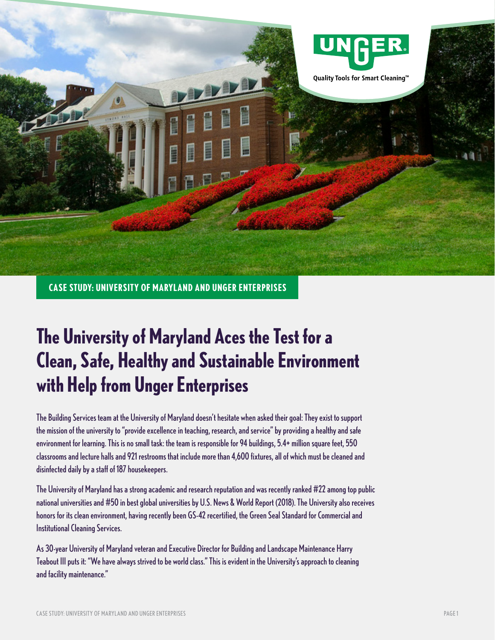

**CASE STUDY: UNIVERSITY OF MARYLAND AND UNGER ENTERPRISES**

# **The University of Maryland Aces the Test for a Clean, Safe, Healthy and Sustainable Environment with Help from Unger Enterprises**

The Building Services team at the University of Maryland doesn't hesitate when asked their goal: They exist to support the mission of the university to "provide excellence in teaching, research, and service" by providing a healthy and safe environment for learning. This is no small task: the team is responsible for 94 buildings, 5.4+ million square feet, 550 classrooms and lecture halls and 921 restrooms that include more than 4,600 fixtures, all of which must be cleaned and disinfected daily by a staff of 187 housekeepers.

The University of Maryland has a strong academic and research reputation and was recently ranked #22 among top public national universities and #50 in best global universities by U.S. News & World Report (2018). The University also receives honors for its clean environment, having recently been GS-42 recertified, the Green Seal Standard for Commercial and Institutional Cleaning Services.

As 30-year University of Maryland veteran and Executive Director for Building and Landscape Maintenance Harry Teabout III puts it: "We have always strived to be world class." This is evident in the University's approach to cleaning and facility maintenance."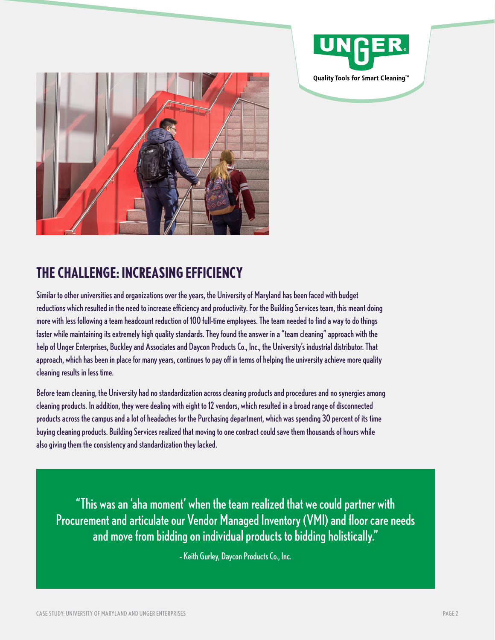



# **THE CHALLENGE: INCREASING EFFICIENCY**

Similar to other universities and organizations over the years, the University of Maryland has been faced with budget reductions which resulted in the need to increase efficiency and productivity. For the Building Services team, this meant doing more with less following a team headcount reduction of 100 full-time employees. The team needed to find a way to do things faster while maintaining its extremely high quality standards. They found the answer in a "team cleaning" approach with the help of Unger Enterprises, Buckley and Associates and Daycon Products Co., Inc., the University's industrial distributor. That approach, which has been in place for many years, continues to pay off in terms of helping the university achieve more quality cleaning results in less time.

Before team cleaning, the University had no standardization across cleaning products and procedures and no synergies among cleaning products. In addition, they were dealing with eight to 12 vendors, which resulted in a broad range of disconnected products across the campus and a lot of headaches for the Purchasing department, which was spending 30 percent of its time buying cleaning products. Building Services realized that moving to one contract could save them thousands of hours while also giving them the consistency and standardization they lacked.

"This was an 'aha moment' when the team realized that we could partner with Procurement and articulate our Vendor Managed Inventory (VMI) and floor care needs and move from bidding on individual products to bidding holistically."

– Keith Gurley, Daycon Products Co., Inc.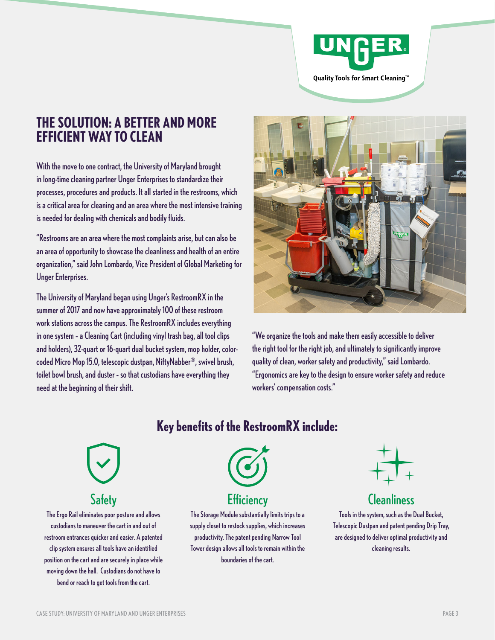

# **THE SOLUTION: A BETTER AND MORE EFFICIENT WAY TO CLEAN**

With the move to one contract, the University of Maryland brought in long-time cleaning partner Unger Enterprises to standardize their processes, procedures and products. It all started in the restrooms, which is a critical area for cleaning and an area where the most intensive training is needed for dealing with chemicals and bodily fluids.

"Restrooms are an area where the most complaints arise, but can also be an area of opportunity to showcase the cleanliness and health of an entire organization," said John Lombardo, Vice President of Global Marketing for Unger Enterprises.

The University of Maryland began using Unger's RestroomRX in the summer of 2017 and now have approximately 100 of these restroom work stations across the campus. The RestroomRX includes everything in one system – a Cleaning Cart (including vinyl trash bag, all tool clips and holders), 32-quart or 16-quart dual bucket system, mop holder, colorcoded Micro Mop 15.0, telescopic dustpan, NiftyNabber®, swivel brush, toilet bowl brush, and duster – so that custodians have everything they need at the beginning of their shift.



"We organize the tools and make them easily accessible to deliver the right tool for the right job, and ultimately to significantly improve quality of clean, worker safety and productivity," said Lombardo. "Ergonomics are key to the design to ensure worker safety and reduce workers' compensation costs."

### **Key benefits of the RestroomRX include:**



The Ergo Rail eliminates poor posture and allows custodians to maneuver the cart in and out of restroom entrances quicker and easier. A patented clip system ensures all tools have an identified position on the cart and are securely in place while moving down the hall. Custodians do not have to bend or reach to get tools from the cart.



The Storage Module substantially limits trips to a supply closet to restock supplies, which increases productivity. The patent pending Narrow Tool Tower design allows all tools to remain within the boundaries of the cart.



# Safety **Efficiency** Efficiency **Cleanliness**

Tools in the system, such as the Dual Bucket, Telescopic Dustpan and patent pending Drip Tray, are designed to deliver optimal productivity and cleaning results.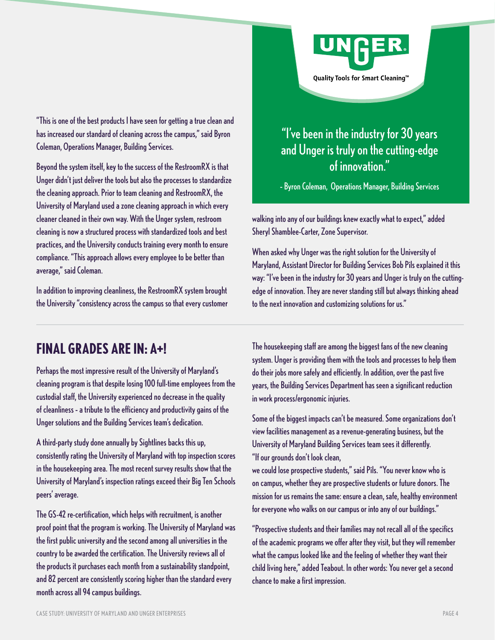

"This is one of the best products I have seen for getting a true clean and has increased our standard of cleaning across the campus," said Byron Coleman, Operations Manager, Building Services.

Beyond the system itself, key to the success of the RestroomRX is that Unger didn't just deliver the tools but also the processes to standardize the cleaning approach. Prior to team cleaning and RestroomRX, the University of Maryland used a zone cleaning approach in which every cleaner cleaned in their own way. With the Unger system, restroom cleaning is now a structured process with standardized tools and best practices, and the University conducts training every month to ensure compliance. "This approach allows every employee to be better than average," said Coleman.

In addition to improving cleanliness, the RestroomRX system brought the University "consistency across the campus so that every customer

# "I've been in the industry for 30 years and Unger is truly on the cutting-edge of innovation."

– Byron Coleman, Operations Manager, Building Services

walking into any of our buildings knew exactly what to expect," added Sheryl Shamblee-Carter, Zone Supervisor.

When asked why Unger was the right solution for the University of Maryland, Assistant Director for Building Services Bob Pils explained it this way: "I've been in the industry for 30 years and Unger is truly on the cuttingedge of innovation. They are never standing still but always thinking ahead to the next innovation and customizing solutions for us."

# **FINAL GRADES ARE IN: A+!**

Perhaps the most impressive result of the University of Maryland's cleaning program is that despite losing 100 full-time employees from the custodial staff, the University experienced no decrease in the quality of cleanliness – a tribute to the efficiency and productivity gains of the Unger solutions and the Building Services team's dedication.

A third-party study done annually by Sightlines backs this up, consistently rating the University of Maryland with top inspection scores in the housekeeping area. The most recent survey results show that the University of Maryland's inspection ratings exceed their Big Ten Schools peers' average.

The GS-42 re-certification, which helps with recruitment, is another proof point that the program is working. The University of Maryland was the first public university and the second among all universities in the country to be awarded the certification. The University reviews all of the products it purchases each month from a sustainability standpoint, and 82 percent are consistently scoring higher than the standard every month across all 94 campus buildings.

The housekeeping staff are among the biggest fans of the new cleaning system. Unger is providing them with the tools and processes to help them do their jobs more safely and efficiently. In addition, over the past five years, the Building Services Department has seen a significant reduction in work process/ergonomic injuries.

Some of the biggest impacts can't be measured. Some organizations don't view facilities management as a revenue-generating business, but the University of Maryland Building Services team sees it differently. "If our grounds don't look clean,

we could lose prospective students," said Pils. "You never know who is on campus, whether they are prospective students or future donors. The mission for us remains the same: ensure a clean, safe, healthy environment for everyone who walks on our campus or into any of our buildings."

"Prospective students and their families may not recall all of the specifics of the academic programs we offer after they visit, but they will remember what the campus looked like and the feeling of whether they want their child living here," added Teabout. In other words: You never get a second chance to make a first impression.